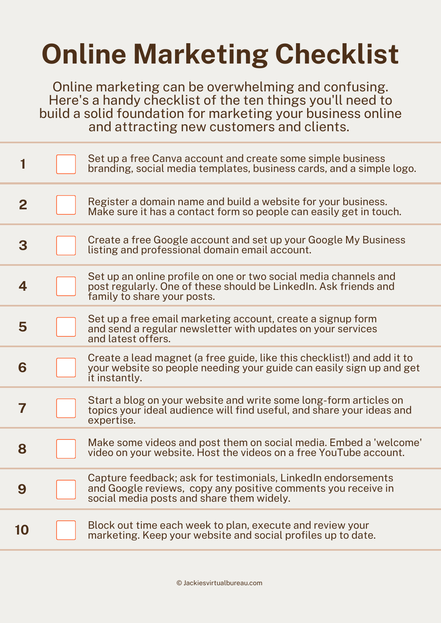## **Online Marketing Checklist**

Online marketing can be overwhelming and confusing. Here's a handy checklist of the ten things you'll need to build a solid foundation for marketing your business online and attracting new customers and clients.

|              | Set up a free Canva account and create some simple business<br>branding, social media templates, business cards, and a simple logo.                                         |
|--------------|-----------------------------------------------------------------------------------------------------------------------------------------------------------------------------|
| $\mathbf{2}$ | Register a domain name and build a website for your business.<br>Make sure it has a contact form so people can easily get in touch.                                         |
| 3            | Create a free Google account and set up your Google My Business<br>listing and professional domain email account.                                                           |
| 4            | Set up an online profile on one or two social media channels and<br>post regularly. One of these should be LinkedIn. Ask friends and<br>family to share your posts.         |
| 5            | Set up a free email marketing account, create a signup form<br>and send a regular newsletter with updates on your services<br>and latest offers.                            |
| 6            | Create a lead magnet (a free guide, like this checklist!) and add it to<br>your website so people needing your guide can easily sign up and get<br>it instantly.            |
| 7            | Start a blog on your website and write some long-form articles on<br>topics your ideal audience will find useful, and share your ideas and<br>expertise.                    |
| 8            | Make some videos and post them on social media. Embed a 'welcome'<br>video on your website. Host the videos on a free YouTube account.                                      |
| 9            | Capture feedback; ask for testimonials, LinkedIn endorsements<br>and Google reviews, copy any positive comments you receive in<br>social media posts and share them widely. |
| 10           | Block out time each week to plan, execute and review your<br>marketing. Keep your website and social profiles up to date.                                                   |